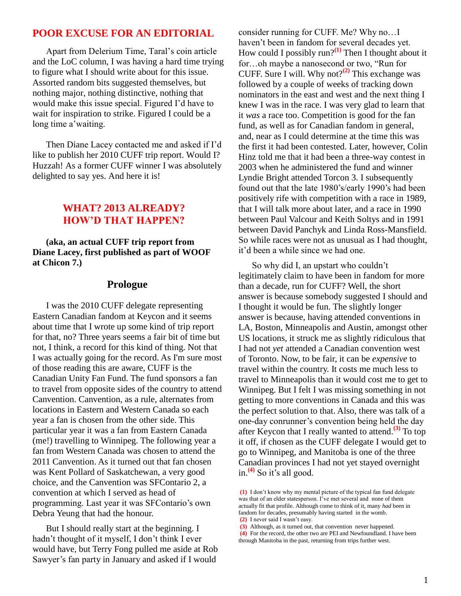### **POOR EXCUSE FOR AN EDITORIAL**

 Apart from Delerium Time, Taral's coin article and the LoC column, I was having a hard time trying to figure what I should write about for this issue. Assorted random bits suggested themselves, but nothing major, nothing distinctive, nothing that would make this issue special. Figured I'd have to wait for inspiration to strike. Figured I could be a long time a'waiting.

 Then Diane Lacey contacted me and asked if I'd like to publish her 2010 CUFF trip report. Would I? Huzzah! As a former CUFF winner I was absolutely delighted to say yes. And here it is!

# **WHAT? 2013 ALREADY? HOW'D THAT HAPPEN?**

 **(aka, an actual CUFF trip report from Diane Lacey, first published as part of WOOF at Chicon 7.)**

#### **Prologue**

 I was the 2010 CUFF delegate representing Eastern Canadian fandom at Keycon and it seems about time that I wrote up some kind of trip report for that, no? Three years seems a fair bit of time but not, I think, a record for this kind of thing. Not that I was actually going for the record. As I'm sure most of those reading this are aware, CUFF is the Canadian Unity Fan Fund. The fund sponsors a fan to travel from opposite sides of the country to attend Canvention. Canvention, as a rule, alternates from locations in Eastern and Western Canada so each year a fan is chosen from the other side. This particular year it was a fan from Eastern Canada (me!) travelling to Winnipeg. The following year a fan from Western Canada was chosen to attend the 2011 Canvention. As it turned out that fan chosen was Kent Pollard of Saskatchewan, a very good choice, and the Canvention was SFContario 2, a convention at which I served as head of programming. Last year it was SFContario's own Debra Yeung that had the honour.

 But I should really start at the beginning. I hadn't thought of it myself, I don't think I ever would have, but Terry Fong pulled me aside at Rob Sawyer's fan party in January and asked if I would

consider running for CUFF. Me? Why no…I haven't been in fandom for several decades yet. How could I possibly run?**(1)** Then I thought about it for…oh maybe a nanosecond or two, "Run for CUFF. Sure I will. Why not?**(2)** This exchange was followed by a couple of weeks of tracking down nominators in the east and west and the next thing I knew I was in the race. I was very glad to learn that it *was* a race too. Competition is good for the fan fund, as well as for Canadian fandom in general, and, near as I could determine at the time this was the first it had been contested. Later, however, Colin Hinz told me that it had been a three-way contest in 2003 when he administered the fund and winner Lyndie Bright attended Torcon 3. I subsequently found out that the late 1980's/early 1990's had been positively rife with competition with a race in 1989, that I will talk more about later, and a race in 1990 between Paul Valcour and Keith Soltys and in 1991 between David Panchyk and Linda Ross-Mansfield. So while races were not as unusual as I had thought, it'd been a while since we had one.

 So why did I, an upstart who couldn't legitimately claim to have been in fandom for more than a decade, run for CUFF? Well, the short answer is because somebody suggested I should and I thought it would be fun. The slightly longer answer is because, having attended conventions in LA, Boston, Minneapolis and Austin, amongst other US locations, it struck me as slightly ridiculous that I had not *yet* attended a Canadian convention west of Toronto. Now, to be fair, it can be *expensive* to travel within the country. It costs me much less to travel to Minneapolis than it would cost me to get to Winnipeg. But I felt I was missing something in not getting to more conventions in Canada and this was the perfect solution to that. Also, there was talk of a one-day conrunner's convention being held the day after Keycon that I really wanted to attend.**(3)** To top it off, if chosen as the CUFF delegate I would get to go to Winnipeg, and Manitoba is one of the three Canadian provinces I had not yet stayed overnight in.**(4)** So it's all good.

**<sup>(1)</sup>** I don't know why my mental picture of the typical fan fund delegate was that of an elder statesperson. I've met several and none of them actually fit that profile. Although come to think of it, many *had* been in fandom for decades, presumably having started in the womb. **(2)** I never said I wasn't easy.

**<sup>(3)</sup>** Although, as it turned out, that convention never happened. **(4)** For the record, the other two are PEI and Newfoundland. I have been through Manitoba in the past, returning from trips further west.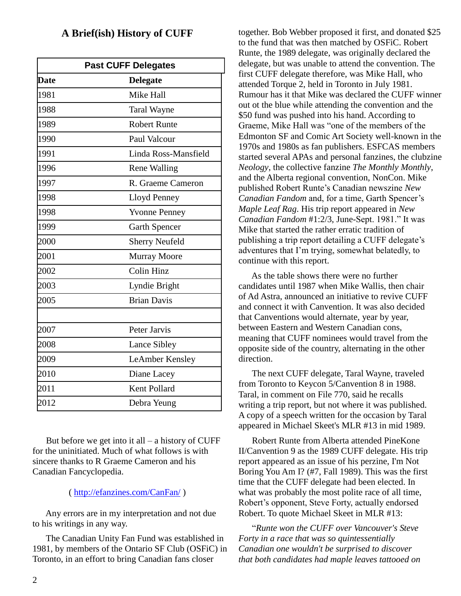## **A Brief(ish) History of CUFF**

| <b>Past CUFF Delegates</b> |                       |
|----------------------------|-----------------------|
| <b>Date</b>                | <b>Delegate</b>       |
| 1981                       | Mike Hall             |
| 1988                       | <b>Taral Wayne</b>    |
| 1989                       | <b>Robert Runte</b>   |
| 1990                       | Paul Valcour          |
| 1991                       | Linda Ross-Mansfield  |
| 1996                       | <b>Rene Walling</b>   |
| 1997                       | R. Graeme Cameron     |
| 1998                       | Lloyd Penney          |
| 1998                       | <b>Yvonne Penney</b>  |
| 1999                       | <b>Garth Spencer</b>  |
| 2000                       | <b>Sherry Neufeld</b> |
| 2001                       | <b>Murray Moore</b>   |
| 2002                       | <b>Colin Hinz</b>     |
| 2003                       | Lyndie Bright         |
| 2005                       | <b>Brian Davis</b>    |
|                            |                       |
| 2007                       | Peter Jarvis          |
| 2008                       | Lance Sibley          |
| 2009                       | LeAmber Kensley       |
| 2010                       | Diane Lacey           |
| 2011                       | Kent Pollard          |
| 2012                       | Debra Yeung           |

But before we get into it all  $-$  a history of CUFF for the uninitiated. Much of what follows is with sincere thanks to R Graeme Cameron and his Canadian Fancyclopedia.

### ( <http://efanzines.com/CanFan/> )

 Any errors are in my interpretation and not due to his writings in any way.

 The Canadian Unity Fan Fund was established in 1981, by members of the Ontario SF Club (OSFiC) in Toronto, in an effort to bring Canadian fans closer

together. Bob Webber proposed it first, and donated \$25 to the fund that was then matched by OSFiC. Robert Runte, the 1989 delegate, was originally declared the delegate, but was unable to attend the convention. The first CUFF delegate therefore, was Mike Hall, who attended Torque 2, held in Toronto in July 1981. Rumour has it that Mike was declared the CUFF winner out ot the blue while attending the convention and the \$50 fund was pushed into his hand. According to Graeme, Mike Hall was "one of the members of the Edmonton SF and Comic Art Society well-known in the 1970s and 1980s as fan publishers. ESFCAS members started several APAs and personal fanzines, the clubzine *Neology*, the collective fanzine *The Monthly Monthly*, and the Alberta regional convention, NonCon. Mike published Robert Runte's Canadian newszine *New Canadian Fandom* and, for a time, Garth Spencer's *Maple Leaf Rag*. His trip report appeared in *New Canadian Fandom* #1:2/3, June-Sept. 1981." It was Mike that started the rather erratic tradition of publishing a trip report detailing a CUFF delegate's adventures that I'm trying, somewhat belatedly, to continue with this report.

 As the table shows there were no further candidates until 1987 when Mike Wallis, then chair of Ad Astra, announced an initiative to revive CUFF and connect it with Canvention. It was also decided that Canventions would alternate, year by year, between Eastern and Western Canadian cons, meaning that CUFF nominees would travel from the opposite side of the country, alternating in the other direction.

 The next CUFF delegate, Taral Wayne, traveled from Toronto to Keycon 5/Canvention 8 in 1988. Taral, in comment on File 770, said he recalls writing a trip report, but not where it was published. A copy of a speech written for the occasion by Taral appeared in Michael Skeet's MLR #13 in mid 1989.

 Robert Runte from Alberta attended PineKone II/Canvention 9 as the 1989 CUFF delegate. His trip report appeared as an issue of his perzine, I'm Not Boring You Am I? (#7, Fall 1989). This was the first time that the CUFF delegate had been elected. In what was probably the most polite race of all time, Robert's opponent, Steve Forty, actually endorsed Robert. To quote Michael Skeet in MLR #13:

 "*Runte won the CUFF over Vancouver's Steve Forty in a race that was so quintessentially Canadian one wouldn't be surprised to discover that both candidates had maple leaves tattooed on*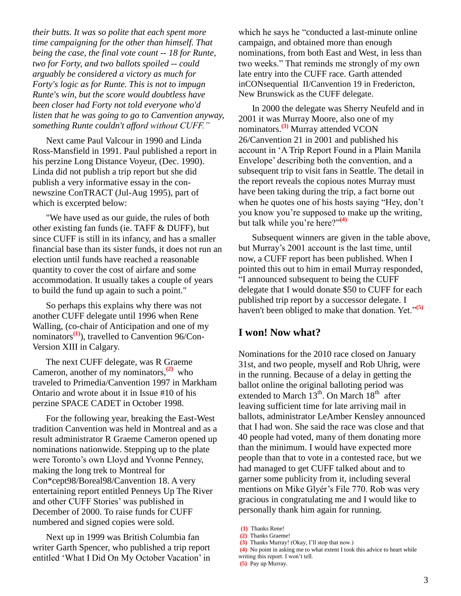*their butts. It was so polite that each spent more time campaigning for the other than himself. That being the case, the final vote count -- 18 for Runte, two for Forty, and two ballots spoiled -- could arguably be considered a victory as much for Forty's logic as for Runte. This is not to impugn Runte's win, but the score would doubtless have been closer had Forty not told everyone who'd listen that he was going to go to Canvention anyway, something Runte couldn't afford without CUFF."*

 Next came Paul Valcour in 1990 and Linda Ross-Mansfield in 1991. Paul published a report in his perzine Long Distance Voyeur, (Dec. 1990). Linda did not publish a trip report but she did publish a very informative essay in the connewszine ConTRACT (Jul-Aug 1995), part of which is excerpted below:

 "We have used as our guide, the rules of both other existing fan funds (ie. TAFF & DUFF), but since CUFF is still in its infancy, and has a smaller financial base than its sister funds, it does not run an election until funds have reached a reasonable quantity to cover the cost of airfare and some accommodation. It usually takes a couple of years to build the fund up again to such a point."

 So perhaps this explains why there was not another CUFF delegate until 1996 when Rene Walling, (co-chair of Anticipation and one of my nominators**(1)**), travelled to Canvention 96/Con-Version XIII in Calgary.

 The next CUFF delegate, was R Graeme Cameron, another of my nominators, **(2)** who traveled to Primedia/Canvention 1997 in Markham Ontario and wrote about it in Issue #10 of his perzine SPACE CADET in October 1998.

 For the following year, breaking the East-West tradition Canvention was held in Montreal and as a result administrator R Graeme Cameron opened up nominations nationwide. Stepping up to the plate were Toronto's own Lloyd and Yvonne Penney, making the long trek to Montreal for Con\*cept98/Boreal98/Canvention 18. A very entertaining report entitled Penneys Up The River and other CUFF Stories' was published in December of 2000. To raise funds for CUFF numbered and signed copies were sold.

 Next up in 1999 was British Columbia fan writer Garth Spencer, who published a trip report entitled 'What I Did On My October Vacation' in which he says he "conducted a last-minute online campaign, and obtained more than enough nominations, from both East and West, in less than two weeks." That reminds me strongly of my own late entry into the CUFF race. Garth attended inCONsequential II/Canvention 19 in Fredericton, New Brunswick as the CUFF delegate.

 In 2000 the delegate was Sherry Neufeld and in 2001 it was Murray Moore, also one of my nominators.**(3)** Murray attended VCON 26/Canvention 21 in 2001 and published his account in 'A Trip Report Found in a Plain Manila Envelope' describing both the convention, and a subsequent trip to visit fans in Seattle. The detail in the report reveals the copious notes Murray must have been taking during the trip, a fact borne out when he quotes one of his hosts saying "Hey, don't you know you're supposed to make up the writing, but talk while you're here?"**(4)**

 Subsequent winners are given in the table above, but Murray's 2001 account is the last time, until now, a CUFF report has been published. When I pointed this out to him in email Murray responded, "I announced subsequent to being the CUFF delegate that I would donate \$50 to CUFF for each published trip report by a successor delegate. I haven't been obliged to make that donation. Yet."**(5)**

### **I won! Now what?**

Nominations for the 2010 race closed on January 31st, and two people, myself and Rob Uhrig, were in the running. Because of a delay in getting the ballot online the original balloting period was extended to March  $13<sup>th</sup>$ . On March  $18<sup>th</sup>$  after leaving sufficient time for late arriving mail in ballots, administrator LeAmber Kensley announced that I had won. She said the race was close and that 40 people had voted, many of them donating more than the minimum. I would have expected more people than that to vote in a contested race, but we had managed to get CUFF talked about and to garner some publicity from it, including several mentions on Mike Glyér's File 770. Rob was very gracious in congratulating me and I would like to personally thank him again for running.

**<sup>(1)</sup>** Thanks Rene!

**<sup>(2)</sup>** Thanks Graeme!

**<sup>(3)</sup>** Thanks Murray! (Okay, I'll stop that now.)

**<sup>(4)</sup>** No point in asking me to what extent I took this advice to heart while

writing this report. I won't tell.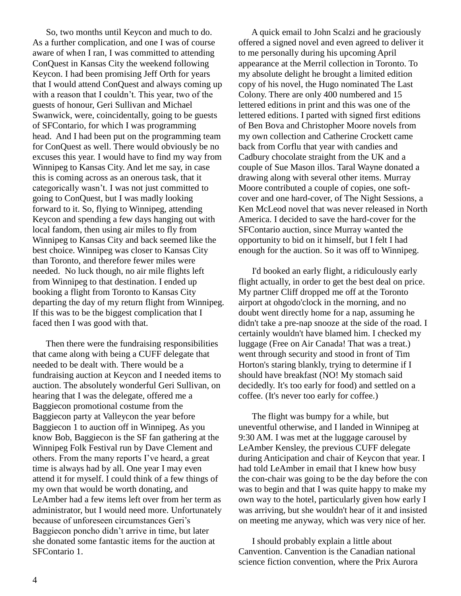So, two months until Keycon and much to do. As a further complication, and one I was of course aware of when I ran, I was committed to attending ConQuest in Kansas City the weekend following Keycon. I had been promising Jeff Orth for years that I would attend ConQuest and always coming up with a reason that I couldn't. This year, two of the guests of honour, Geri Sullivan and Michael Swanwick, were, coincidentally, going to be guests of SFContario, for which I was programming head. And I had been put on the programming team for ConQuest as well. There would obviously be no excuses this year. I would have to find my way from Winnipeg to Kansas City. And let me say, in case this is coming across as an onerous task, that it categorically wasn't. I was not just committed to going to ConQuest, but I was madly looking forward to it. So, flying to Winnipeg, attending Keycon and spending a few days hanging out with local fandom, then using air miles to fly from Winnipeg to Kansas City and back seemed like the best choice. Winnipeg was closer to Kansas City than Toronto, and therefore fewer miles were needed. No luck though, no air mile flights left from Winnipeg to that destination. I ended up booking a flight from Toronto to Kansas City departing the day of my return flight from Winnipeg. If this was to be the biggest complication that I faced then I was good with that.

 Then there were the fundraising responsibilities that came along with being a CUFF delegate that needed to be dealt with. There would be a fundraising auction at Keycon and I needed items to auction. The absolutely wonderful Geri Sullivan, on hearing that I was the delegate, offered me a Baggiecon promotional costume from the Baggiecon party at Valleycon the year before Baggiecon 1 to auction off in Winnipeg. As you know Bob, Baggiecon is the SF fan gathering at the Winnipeg Folk Festival run by Dave Clement and others. From the many reports I've heard, a great time is always had by all. One year I may even attend it for myself. I could think of a few things of my own that would be worth donating, and LeAmber had a few items left over from her term as administrator, but I would need more. Unfortunately because of unforeseen circumstances Geri's Baggiecon poncho didn't arrive in time, but later she donated some fantastic items for the auction at SFContario 1.

 A quick email to John Scalzi and he graciously offered a signed novel and even agreed to deliver it to me personally during his upcoming April appearance at the Merril collection in Toronto. To my absolute delight he brought a limited edition copy of his novel, the Hugo nominated The Last Colony. There are only 400 numbered and 15 lettered editions in print and this was one of the lettered editions. I parted with signed first editions of Ben Bova and Christopher Moore novels from my own collection and Catherine Crockett came back from Corflu that year with candies and Cadbury chocolate straight from the UK and a couple of Sue Mason illos. Taral Wayne donated a drawing along with several other items. Murray Moore contributed a couple of copies, one softcover and one hard-cover, of The Night Sessions*,* a Ken McLeod novel that was never released in North America. I decided to save the hard-cover for the SFContario auction, since Murray wanted the opportunity to bid on it himself, but I felt I had enough for the auction. So it was off to Winnipeg.

 I'd booked an early flight, a ridiculously early flight actually, in order to get the best deal on price. My partner Cliff dropped me off at the Toronto airport at ohgodo'clock in the morning, and no doubt went directly home for a nap, assuming he didn't take a pre-nap snooze at the side of the road. I certainly wouldn't have blamed him. I checked my luggage (Free on Air Canada! That was a treat.) went through security and stood in front of Tim Horton's staring blankly, trying to determine if I should have breakfast (NO! My stomach said decidedly. It's too early for food) and settled on a coffee. (It's never too early for coffee.)

 The flight was bumpy for a while, but uneventful otherwise, and I landed in Winnipeg at 9:30 AM. I was met at the luggage carousel by LeAmber Kensley, the previous CUFF delegate during Anticipation and chair of Keycon that year. I had told LeAmber in email that I knew how busy the con-chair was going to be the day before the con was to begin and that I was quite happy to make my own way to the hotel, particularly given how early I was arriving, but she wouldn't hear of it and insisted on meeting me anyway, which was very nice of her.

 I should probably explain a little about Canvention. Canvention is the Canadian national science fiction convention, where the Prix Aurora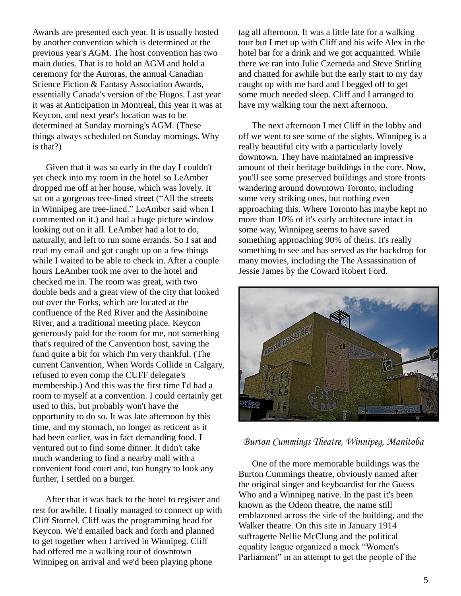Awards are presented each year. It is usually hosted by another convention which is determined at the previous year's AGM. The host convention has two main duties. That is to hold an AGM and hold a ceremony for the Auroras, the annual Canadian Science Fiction & Fantasy Association Awards, essentially Canada's version of the Hugos. Last year it was at Anticipation in Montreal, this year it was at Keycon, and next year's location was to be determined at Sunday morning's AGM. (These things always scheduled on Sunday mornings. Why is that?)

 Given that it was so early in the day I couldn't yet check into my room in the hotel so LeAmber dropped me off at her house, which was lovely. It sat on a gorgeous tree-lined street ("All the streets in Winnipeg are tree-lined." LeAmber said when I commented on it.) and had a huge picture window looking out on it all. LeAmber had a lot to do, naturally, and left to run some errands. So I sat and read my email and got caught up on a few things while I waited to be able to check in. After a couple hours LeAmber took me over to the hotel and checked me in. The room was great, with two double beds and a great view of the city that looked out over the Forks, which are located at the confluence of the Red River and the Assiniboine River, and a traditional meeting place. Keycon generously paid for the room for me, not something that's required of the Canvention host, saving the fund quite a bit for which I'm very thankful. (The current Canvention, When Words Collide in Calgary, refused to even comp the CUFF delegate's membership.) And this was the first time I'd had a room to myself at a convention. I could certainly get used to this, but probably won't have the opportunity to do so. It was late afternoon by this time, and my stomach, no longer as reticent as it had been earlier, was in fact demanding food. I ventured out to find some dinner. It didn't take much wandering to find a nearby mall with a convenient food court and, too hungry to look any further, I settled on a burger.

 After that it was back to the hotel to register and rest for awhile. I finally managed to connect up with Cliff Stornel. Cliff was the programming head for Keycon. We'd emailed back and forth and planned to get together when I arrived in Winnipeg. Cliff had offered me a walking tour of downtown Winnipeg on arrival and we'd been playing phone

tag all afternoon. It was a little late for a walking tour but I met up with Cliff and his wife Alex in the hotel bar for a drink and we got acquainted. While there we ran into Julie Czerneda and Steve Stirling and chatted for awhile but the early start to my day caught up with me hard and I begged off to get some much needed sleep. Cliff and I arranged to have my walking tour the next afternoon.

 The next afternoon I met Cliff in the lobby and off we went to see some of the sights. Winnipeg is a really beautiful city with a particularly lovely downtown. They have maintained an impressive amount of their heritage buildings in the core. Now, you'll see some preserved buildings and store fronts wandering around downtown Toronto, including some very striking ones, but nothing even approaching this. Where Toronto has maybe kept no more than 10% of it's early architecture intact in some way, Winnipeg seems to have saved something approaching 90% of theirs. It's really something to see and has served as the backdrop for many movies, including the The Assassination of Jessie James by the Coward Robert Ford.



### *Burton Cummings Theatre, Winnipeg, Manitoba*

 One of the more memorable buildings was the Burton Cummings theatre, obviously named after the original singer and keyboardist for the Guess Who and a Winnipeg native. In the past it's been known as the Odeon theatre, the name still emblazoned across the side of the building, and the Walker theatre. On this site in January 1914 suffragette Nellie McClung and the political equality league organized a mock "Women's Parliament" in an attempt to get the people of the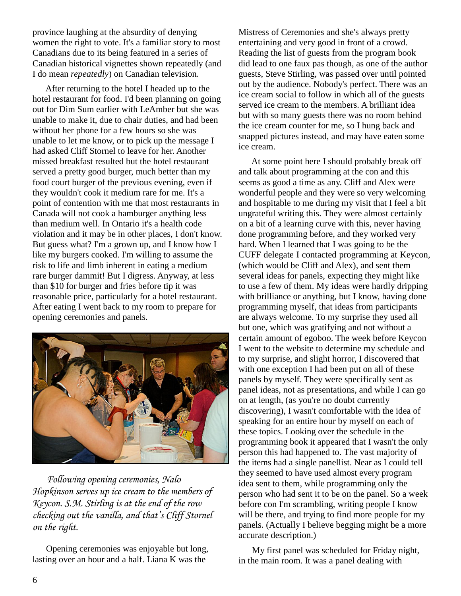province laughing at the absurdity of denying women the right to vote. It's a familiar story to most Canadians due to its being featured in a series of Canadian historical vignettes shown repeatedly (and I do mean *repeatedly*) on Canadian television.

 After returning to the hotel I headed up to the hotel restaurant for food. I'd been planning on going out for Dim Sum earlier with LeAmber but she was unable to make it, due to chair duties, and had been without her phone for a few hours so she was unable to let me know, or to pick up the message I had asked Cliff Stornel to leave for her. Another missed breakfast resulted but the hotel restaurant served a pretty good burger, much better than my food court burger of the previous evening, even if they wouldn't cook it medium rare for me. It's a point of contention with me that most restaurants in Canada will not cook a hamburger anything less than medium well. In Ontario it's a health code violation and it may be in other places, I don't know. But guess what? I'm a grown up, and I know how I like my burgers cooked. I'm willing to assume the risk to life and limb inherent in eating a medium rare burger dammit! But I digress. Anyway, at less than \$10 for burger and fries before tip it was reasonable price, particularly for a hotel restaurant. After eating I went back to my room to prepare for opening ceremonies and panels.



 *Following opening ceremonies, Nalo Hopkinson serves up ice cream to the members of Keycon. S.M. Stirling is at the end of the row checking out the vanilla, and that's Cliff Stornel on the right.*

 Opening ceremonies was enjoyable but long, lasting over an hour and a half. Liana K was the

Mistress of Ceremonies and she's always pretty entertaining and very good in front of a crowd. Reading the list of guests from the program book did lead to one faux pas though, as one of the author guests, Steve Stirling, was passed over until pointed out by the audience. Nobody's perfect. There was an ice cream social to follow in which all of the guests served ice cream to the members. A brilliant idea but with so many guests there was no room behind the ice cream counter for me, so I hung back and snapped pictures instead, and may have eaten some ice cream.

 At some point here I should probably break off and talk about programming at the con and this seems as good a time as any. Cliff and Alex were wonderful people and they were so very welcoming and hospitable to me during my visit that I feel a bit ungrateful writing this. They were almost certainly on a bit of a learning curve with this, never having done programming before, and they worked very hard. When I learned that I was going to be the CUFF delegate I contacted programming at Keycon, (which would be Cliff and Alex), and sent them several ideas for panels, expecting they might like to use a few of them. My ideas were hardly dripping with brilliance or anything, but I know, having done programming myself, that ideas from participants are always welcome. To my surprise they used all but one, which was gratifying and not without a certain amount of egoboo. The week before Keycon I went to the website to determine my schedule and to my surprise, and slight horror, I discovered that with one exception I had been put on all of these panels by myself. They were specifically sent as panel ideas, not as presentations, and while I can go on at length, (as you're no doubt currently discovering), I wasn't comfortable with the idea of speaking for an entire hour by myself on each of these topics. Looking over the schedule in the programming book it appeared that I wasn't the only person this had happened to. The vast majority of the items had a single panellist. Near as I could tell they seemed to have used almost every program idea sent to them, while programming only the person who had sent it to be on the panel. So a week before con I'm scrambling, writing people I know will be there, and trying to find more people for my panels. (Actually I believe begging might be a more accurate description.)

 My first panel was scheduled for Friday night, in the main room. It was a panel dealing with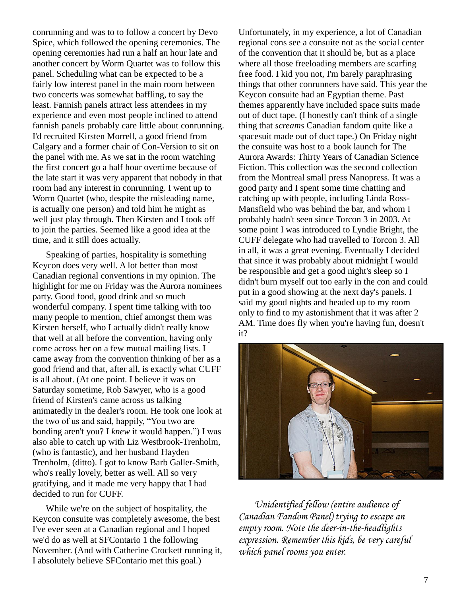conrunning and was to to follow a concert by Devo Spice, which followed the opening ceremonies. The opening ceremonies had run a half an hour late and another concert by Worm Quartet was to follow this panel. Scheduling what can be expected to be a fairly low interest panel in the main room between two concerts was somewhat baffling, to say the least. Fannish panels attract less attendees in my experience and even most people inclined to attend fannish panels probably care little about conrunning. I'd recruited Kirsten Morrell, a good friend from Calgary and a former chair of Con-Version to sit on the panel with me. As we sat in the room watching the first concert go a half hour overtime because of the late start it was very apparent that nobody in that room had any interest in conrunning. I went up to Worm Quartet (who, despite the misleading name, is actually one person) and told him he might as well just play through. Then Kirsten and I took off to join the parties. Seemed like a good idea at the time, and it still does actually.

 Speaking of parties, hospitality is something Keycon does very well. A lot better than most Canadian regional conventions in my opinion. The highlight for me on Friday was the Aurora nominees party. Good food, good drink and so much wonderful company. I spent time talking with too many people to mention, chief amongst them was Kirsten herself, who I actually didn't really know that well at all before the convention, having only come across her on a few mutual mailing lists. I came away from the convention thinking of her as a good friend and that, after all, is exactly what CUFF is all about. (At one point. I believe it was on Saturday sometime, Rob Sawyer, who is a good friend of Kirsten's came across us talking animatedly in the dealer's room. He took one look at the two of us and said, happily, "You two are bonding aren't you? I *knew* it would happen.") I was also able to catch up with Liz Westbrook-Trenholm, (who is fantastic), and her husband Hayden Trenholm, (ditto). I got to know Barb Galler-Smith, who's really lovely, better as well. All so very gratifying, and it made me very happy that I had decided to run for CUFF.

 While we're on the subject of hospitality, the Keycon consuite was completely awesome, the best I've ever seen at a Canadian regional and I hoped we'd do as well at SFContario 1 the following November. (And with Catherine Crockett running it, I absolutely believe SFContario met this goal.)

Unfortunately, in my experience, a lot of Canadian regional cons see a consuite not as the social center of the convention that it should be, but as a place where all those freeloading members are scarfing free food. I kid you not, I'm barely paraphrasing things that other conrunners have said. This year the Keycon consuite had an Egyptian theme. Past themes apparently have included space suits made out of duct tape. (I honestly can't think of a single thing that *screams* Canadian fandom quite like a spacesuit made out of duct tape.) On Friday night the consuite was host to a book launch for The Aurora Awards: Thirty Years of Canadian Science Fiction. This collection was the second collection from the Montreal small press Nanopress. It was a good party and I spent some time chatting and catching up with people, including Linda Ross-Mansfield who was behind the bar, and whom I probably hadn't seen since Torcon 3 in 2003. At some point I was introduced to Lyndie Bright, the CUFF delegate who had travelled to Torcon 3. All in all, it was a great evening. Eventually I decided that since it was probably about midnight I would be responsible and get a good night's sleep so I didn't burn myself out too early in the con and could put in a good showing at the next day's panels. I said my good nights and headed up to my room only to find to my astonishment that it was after 2 AM. Time does fly when you're having fun, doesn't it?



 *Unidentified fellow (entire audience of Canadian Fandom Panel) trying to escape an empty room. Note the deer-in-the-headlights expression. Remember this kids, be very careful which panel rooms you enter.*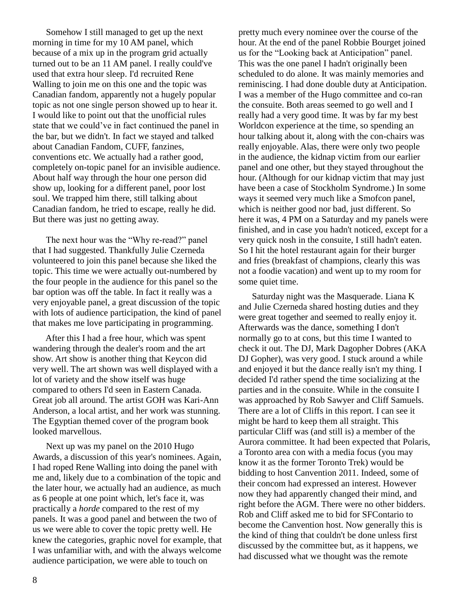Somehow I still managed to get up the next morning in time for my 10 AM panel, which because of a mix up in the program grid actually turned out to be an 11 AM panel. I really could've used that extra hour sleep. I'd recruited Rene Walling to join me on this one and the topic was Canadian fandom, apparently not a hugely popular topic as not one single person showed up to hear it. I would like to point out that the unofficial rules state that we could've in fact continued the panel in the bar, but we didn't. In fact we stayed and talked about Canadian Fandom, CUFF, fanzines, conventions etc. We actually had a rather good, completely on-topic panel for an invisible audience. About half way through the hour one person did show up, looking for a different panel, poor lost soul. We trapped him there, still talking about Canadian fandom, he tried to escape, really he did. But there was just no getting away.

 The next hour was the "Why re-read?" panel that I had suggested. Thankfully Julie Czerneda volunteered to join this panel because she liked the topic. This time we were actually out-numbered by the four people in the audience for this panel so the bar option was off the table. In fact it really was a very enjoyable panel, a great discussion of the topic with lots of audience participation, the kind of panel that makes me love participating in programming.

 After this I had a free hour, which was spent wandering through the dealer's room and the art show. Art show is another thing that Keycon did very well. The art shown was well displayed with a lot of variety and the show itself was huge compared to others I'd seen in Eastern Canada. Great job all around. The artist GOH was Kari-Ann Anderson, a local artist, and her work was stunning. The Egyptian themed cover of the program book looked marvellous.

 Next up was my panel on the 2010 Hugo Awards, a discussion of this year's nominees. Again, I had roped Rene Walling into doing the panel with me and, likely due to a combination of the topic and the later hour, we actually had an audience, as much as 6 people at one point which, let's face it, was practically a *horde* compared to the rest of my panels. It was a good panel and between the two of us we were able to cover the topic pretty well. He knew the categories, graphic novel for example, that I was unfamiliar with, and with the always welcome audience participation, we were able to touch on

pretty much every nominee over the course of the hour. At the end of the panel Robbie Bourget joined us for the "Looking back at Anticipation" panel. This was the one panel I hadn't originally been scheduled to do alone. It was mainly memories and reminiscing. I had done double duty at Anticipation. I was a member of the Hugo committee and co-ran the consuite. Both areas seemed to go well and I really had a very good time. It was by far my best Worldcon experience at the time, so spending an hour talking about it, along with the con-chairs was really enjoyable. Alas, there were only two people in the audience, the kidnap victim from our earlier panel and one other, but they stayed throughout the hour. (Although for our kidnap victim that may just have been a case of Stockholm Syndrome.) In some ways it seemed very much like a Smofcon panel, which is neither good nor bad, just different. So here it was, 4 PM on a Saturday and my panels were finished, and in case you hadn't noticed, except for a very quick nosh in the consuite, I still hadn't eaten. So I hit the hotel restaurant again for their burger and fries (breakfast of champions, clearly this was not a foodie vacation) and went up to my room for some quiet time.

 Saturday night was the Masquerade. Liana K and Julie Czerneda shared hosting duties and they were great together and seemed to really enjoy it. Afterwards was the dance, something I don't normally go to at cons, but this time I wanted to check it out. The DJ, Mark Dagopher Dobres (AKA DJ Gopher), was very good. I stuck around a while and enjoyed it but the dance really isn't my thing. I decided I'd rather spend the time socializing at the parties and in the consuite. While in the consuite I was approached by Rob Sawyer and Cliff Samuels. There are a lot of Cliffs in this report. I can see it might be hard to keep them all straight. This particular Cliff was (and still is) a member of the Aurora committee. It had been expected that Polaris, a Toronto area con with a media focus (you may know it as the former Toronto Trek) would be bidding to host Canvention 2011. Indeed, some of their concom had expressed an interest. However now they had apparently changed their mind, and right before the AGM. There were no other bidders. Rob and Cliff asked me to bid for SFContario to become the Canvention host. Now generally this is the kind of thing that couldn't be done unless first discussed by the committee but, as it happens, we had discussed what we thought was the remote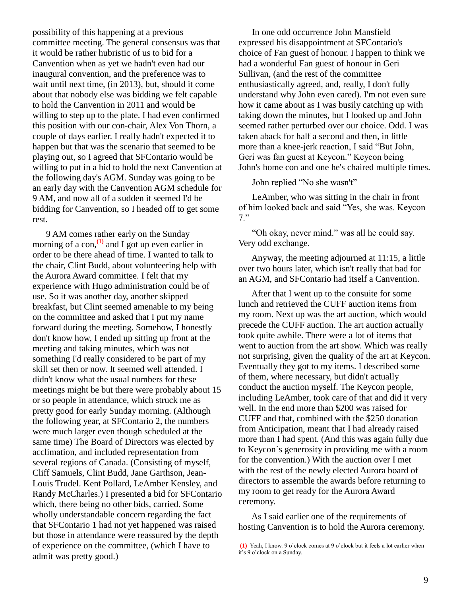possibility of this happening at a previous committee meeting. The general consensus was that it would be rather hubristic of us to bid for a Canvention when as yet we hadn't even had our inaugural convention, and the preference was to wait until next time, (in 2013), but, should it come about that nobody else was bidding we felt capable to hold the Canvention in 2011 and would be willing to step up to the plate. I had even confirmed this position with our con-chair, Alex Von Thorn, a couple of days earlier. I really hadn't expected it to happen but that was the scenario that seemed to be playing out, so I agreed that SFContario would be willing to put in a bid to hold the next Canvention at the following day's AGM. Sunday was going to be an early day with the Canvention AGM schedule for 9 AM, and now all of a sudden it seemed I'd be bidding for Canvention, so I headed off to get some rest.

 9 AM comes rather early on the Sunday morning of a con, $\frac{1}{1}$  and I got up even earlier in order to be there ahead of time. I wanted to talk to the chair, Clint Budd, about volunteering help with the Aurora Award committee. I felt that my experience with Hugo administration could be of use. So it was another day, another skipped breakfast, but Clint seemed amenable to my being on the committee and asked that I put my name forward during the meeting. Somehow, I honestly don't know how, I ended up sitting up front at the meeting and taking minutes, which was not something I'd really considered to be part of my skill set then or now. It seemed well attended. I didn't know what the usual numbers for these meetings might be but there were probably about 15 or so people in attendance, which struck me as pretty good for early Sunday morning. (Although the following year, at SFContario 2, the numbers were much larger even though scheduled at the same time) The Board of Directors was elected by acclimation, and included representation from several regions of Canada. (Consisting of myself, Cliff Samuels, Clint Budd, Jane Garthson, Jean-Louis Trudel. Kent Pollard, LeAmber Kensley, and Randy McCharles.) I presented a bid for SFContario which, there being no other bids, carried. Some wholly understandable concern regarding the fact that SFContario 1 had not yet happened was raised but those in attendance were reassured by the depth of experience on the committee, (which I have to admit was pretty good.)

 In one odd occurrence John Mansfield expressed his disappointment at SFContario's choice of Fan guest of honour. I happen to think we had a wonderful Fan guest of honour in Geri Sullivan, (and the rest of the committee enthusiastically agreed, and, really, I don't fully understand why John even cared). I'm not even sure how it came about as I was busily catching up with taking down the minutes, but I looked up and John seemed rather perturbed over our choice. Odd. I was taken aback for half a second and then, in little more than a knee-jerk reaction, I said "But John, Geri was fan guest at Keycon." Keycon being John's home con and one he's chaired multiple times.

John replied "No she wasn't"

 LeAmber, who was sitting in the chair in front of him looked back and said "Yes, she was. Keycon 7."

 "Oh okay, never mind." was all he could say. Very odd exchange.

 Anyway, the meeting adjourned at 11:15, a little over two hours later, which isn't really that bad for an AGM, and SFContario had itself a Canvention.

 After that I went up to the consuite for some lunch and retrieved the CUFF auction items from my room. Next up was the art auction, which would precede the CUFF auction. The art auction actually took quite awhile. There were a lot of items that went to auction from the art show. Which was really not surprising, given the quality of the art at Keycon. Eventually they got to my items. I described some of them, where necessary, but didn't actually conduct the auction myself. The Keycon people, including LeAmber, took care of that and did it very well. In the end more than \$200 was raised for CUFF and that, combined with the \$250 donation from Anticipation, meant that I had already raised more than I had spent. (And this was again fully due to Keycon`s generosity in providing me with a room for the convention.) With the auction over I met with the rest of the newly elected Aurora board of directors to assemble the awards before returning to my room to get ready for the Aurora Award ceremony.

 As I said earlier one of the requirements of hosting Canvention is to hold the Aurora ceremony.

**<sup>(1)</sup>** Yeah, I know. 9 o'clock comes at 9 o'clock but it feels a lot earlier when it's 9 o'clock on a Sunday.